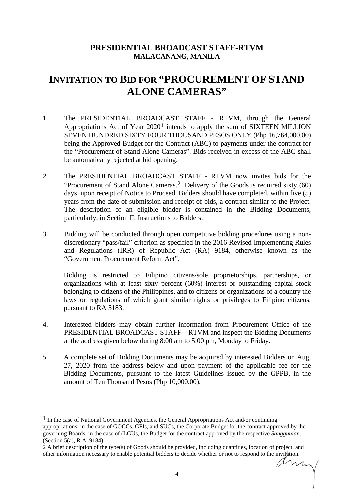## **PRESIDENTIAL BROADCAST STAFF-RTVM MALACANANG, MANILA**

## **INVITATION TO BID FOR "PROCUREMENT OF STAND ALONE CAMERAS"**

- 1. The PRESIDENTIAL BROADCAST STAFF RTVM, through the General Appropriations Act of Year 2020[1](#page-0-0) intends to apply the sum of SIXTEEN MILLION SEVEN HUNDRED SIXTY FOUR THOUSAND PESOS ONLY (Php 16,764,000.00) being the Approved Budget for the Contract (ABC) to payments under the contract for the "Procurement of Stand Alone Cameras". Bids received in excess of the ABC shall be automatically rejected at bid opening.
- 2. The PRESIDENTIAL BROADCAST STAFF RTVM now invites bids for the "Procurement of Stand Alone Cameras.[2](#page-0-1) Delivery of the Goods is required sixty (60) days upon receipt of Notice to Proceed. Bidders should have completed, within five (5) years from the date of submission and receipt of bids, a contract similar to the Project. The description of an eligible bidder is contained in the Bidding Documents, particularly, in Section II. Instructions to Bidders.
- 3. Bidding will be conducted through open competitive bidding procedures using a nondiscretionary "pass/fail" criterion as specified in the 2016 Revised Implementing Rules and Regulations (IRR) of Republic Act (RA) 9184, otherwise known as the "Government Procurement Reform Act".

Bidding is restricted to Filipino citizens/sole proprietorships, partnerships, or organizations with at least sixty percent (60%) interest or outstanding capital stock belonging to citizens of the Philippines, and to citizens or organizations of a country the laws or regulations of which grant similar rights or privileges to Filipino citizens, pursuant to RA 5183.

- 4. Interested bidders may obtain further information from Procurement Office of the PRESIDENTIAL BROADCAST STAFF – RTVM and inspect the Bidding Documents at the address given below during 8:00 am to 5:00 pm, Monday to Friday.
- *5.* A complete set of Bidding Documents may be acquired by interested Bidders on Aug, 27, 2020 from the address below and upon payment of the applicable fee for the Bidding Documents, pursuant to the latest Guidelines issued by the GPPB, in the amount of Ten Thousand Pesos (Php 10,000.00).

<span id="page-0-0"></span> $<sup>1</sup>$  In the case of National Government Agencies, the General Appropriations Act and/or continuing</sup> appropriations; in the case of GOCCs, GFIs, and SUCs, the Corporate Budget for the contract approved by the governing Boards; in the case of (LGUs, the Budget for the contract approved by the respective *Sanggunian*. (Section 5(a), R.A. 9184)

<span id="page-0-1"></span><sup>2</sup> A brief description of the type(s) of Goods should be provided, including quantities, location of project, and other information necessary to enable potential bidders to decide whether or not to respond to the invitation.